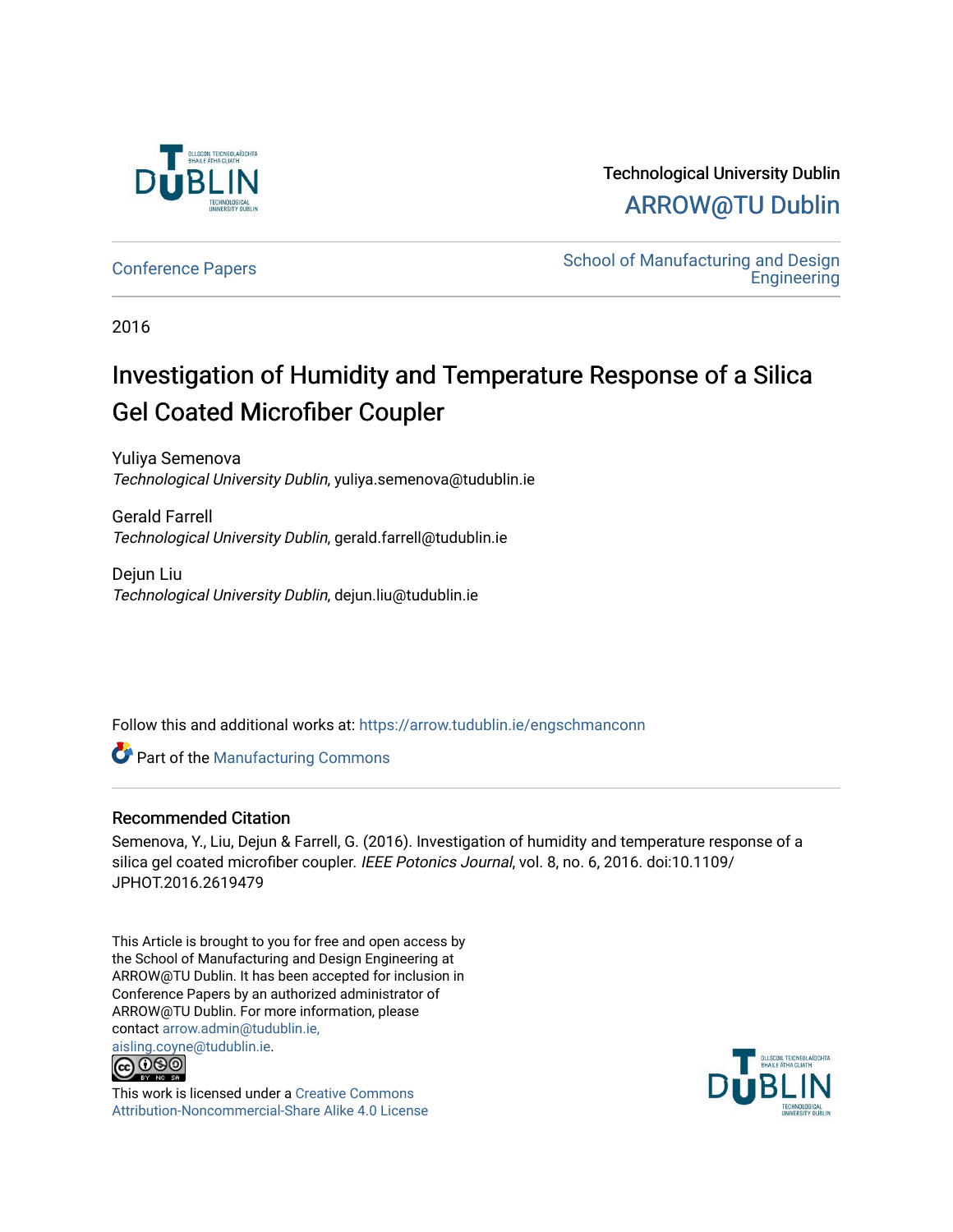

Technological University Dublin [ARROW@TU Dublin](https://arrow.tudublin.ie/) 

[Conference Papers](https://arrow.tudublin.ie/engschmanconn) **School of Manufacturing and Design**<br>
School of Manufacturing and Design **Engineering** 

2016

# Investigation of Humidity and Temperature Response of a Silica Gel Coated Microfiber Coupler

Yuliya Semenova Technological University Dublin, yuliya.semenova@tudublin.ie

Gerald Farrell Technological University Dublin, gerald.farrell@tudublin.ie

Dejun Liu Technological University Dublin, dejun.liu@tudublin.ie

Follow this and additional works at: [https://arrow.tudublin.ie/engschmanconn](https://arrow.tudublin.ie/engschmanconn?utm_source=arrow.tudublin.ie%2Fengschmanconn%2F42&utm_medium=PDF&utm_campaign=PDFCoverPages) 

Part of the [Manufacturing Commons](http://network.bepress.com/hgg/discipline/301?utm_source=arrow.tudublin.ie%2Fengschmanconn%2F42&utm_medium=PDF&utm_campaign=PDFCoverPages) 

# Recommended Citation

Semenova, Y., Liu, Dejun & Farrell, G. (2016). Investigation of humidity and temperature response of a silica gel coated microfiber coupler. IEEE Potonics Journal, vol. 8, no. 6, 2016. doi:10.1109/ JPHOT.2016.2619479

This Article is brought to you for free and open access by the School of Manufacturing and Design Engineering at ARROW@TU Dublin. It has been accepted for inclusion in Conference Papers by an authorized administrator of ARROW@TU Dublin. For more information, please contact [arrow.admin@tudublin.ie,](mailto:arrow.admin@tudublin.ie,%20aisling.coyne@tudublin.ie)  [aisling.coyne@tudublin.ie.](mailto:arrow.admin@tudublin.ie,%20aisling.coyne@tudublin.ie)<br>@ 000



This work is licensed under a [Creative Commons](http://creativecommons.org/licenses/by-nc-sa/4.0/) [Attribution-Noncommercial-Share Alike 4.0 License](http://creativecommons.org/licenses/by-nc-sa/4.0/)

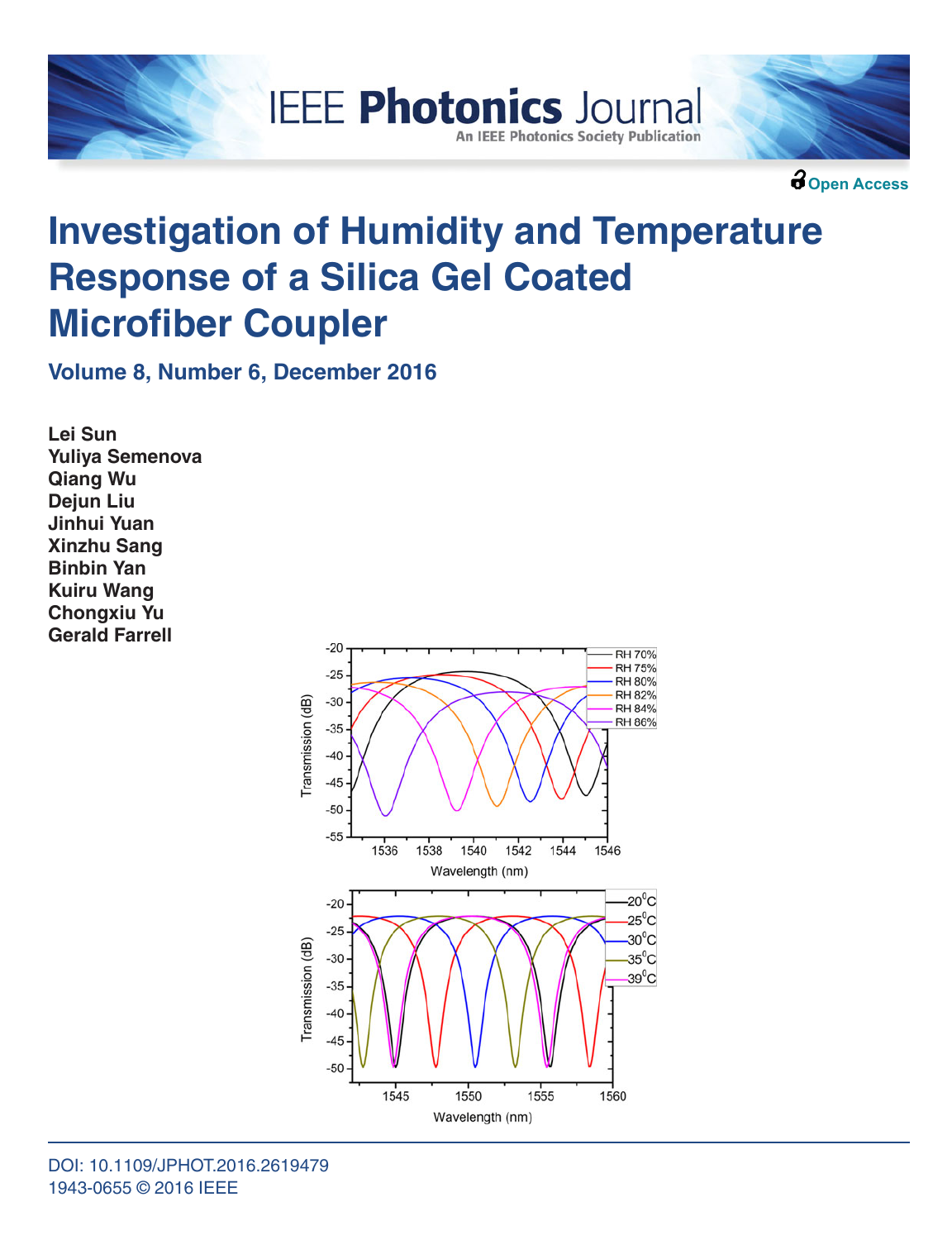



**Open Access**

# **Investigation of Humidity and Temperature Response of a Silica Gel Coated Microfiber Coupler**

**IEEE Photonics Journal** 

**An IEEE Photonics Society Publication** 

**Volume 8, Number 6, December 2016**

**Lei Sun Yuliya Semenova Qiang Wu Dejun Liu Jinhui Yuan Xinzhu Sang Binbin Yan Kuiru Wang Chongxiu Yu Gerald Farrell**

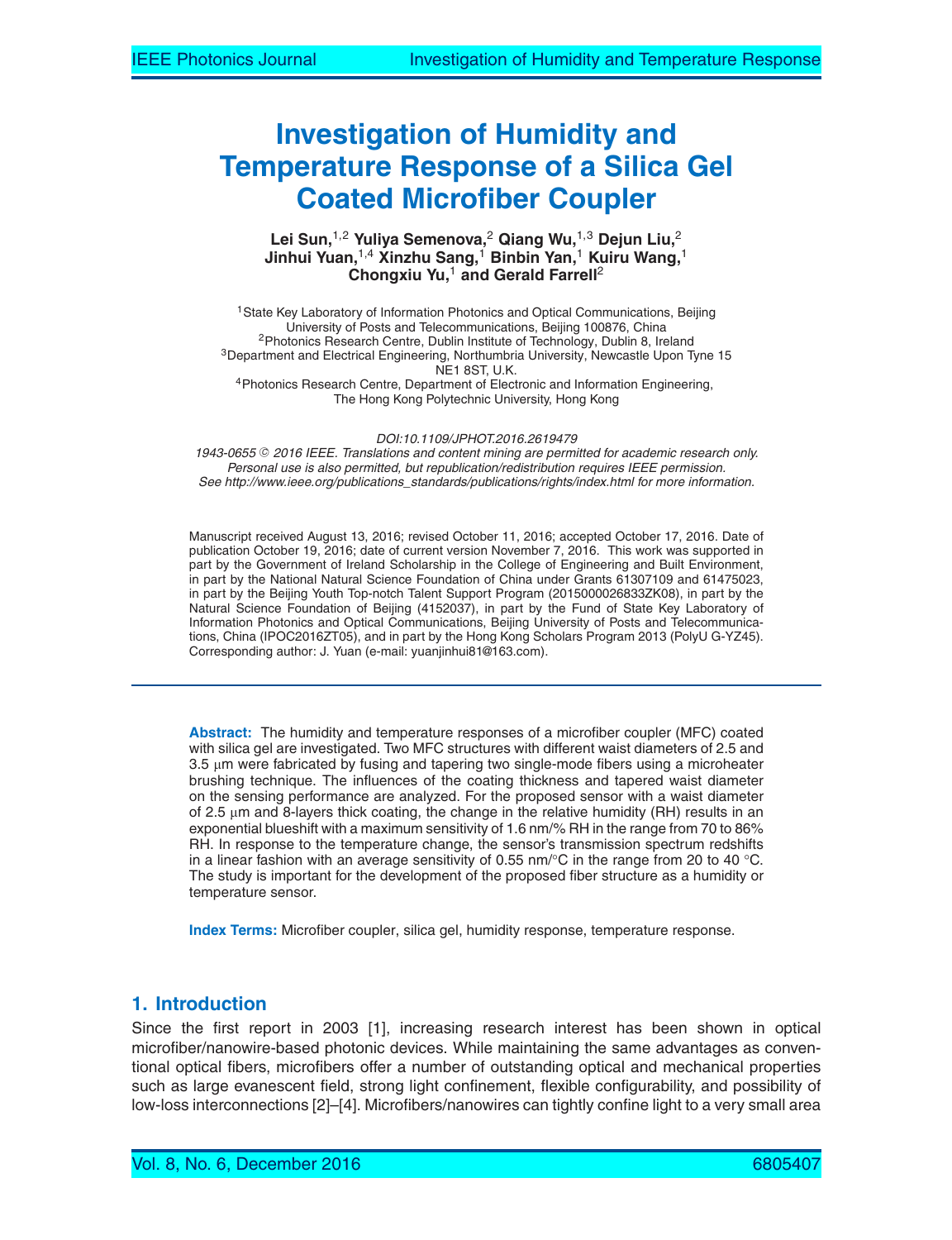# **Investigation of Humidity and Temperature Response of a Silica Gel Coated Microfiber Coupler**

**Lei Sun,**1,2 **Yuliya Semenova,**<sup>2</sup> **Qiang Wu,**1,3 **Dejun Liu,**<sup>2</sup> **Jinhui Yuan,**1,4 **Xinzhu Sang,**<sup>1</sup> **Binbin Yan,**<sup>1</sup> **Kuiru Wang,**<sup>1</sup> **Chongxiu Yu,**<sup>1</sup> **and Gerald Farrell**<sup>2</sup>

<sup>1</sup>State Key Laboratory of Information Photonics and Optical Communications, Beijing<br>University of Posts and Telecommunications, Beijing 100876, China <sup>2</sup>Photonics Research Centre, Dublin Institute of Technology, Dublin 8, Ireland<br><sup>3</sup>Department and Electrical Engineering, Northumbria University, Newcastle Upon Tyne 15 NE1 8ST, U.K.<br><sup>4</sup> Photonics Research Centre, Department of Electronic and Information Engineering, The Hong Kong Polytechnic University, Hong Kong

DOI:10.1109/JPHOT.2016.2619479

1943-0655 © 2016 IEEE. Translations and content mining are permitted for academic research only. Personal use is also permitted, but republication/redistribution requires IEEE permission. See http://www.ieee.org/publications\_standards/publications/rights/index.html for more information.

Manuscript received August 13, 2016; revised October 11, 2016; accepted October 17, 2016. Date of publication October 19, 2016; date of current version November 7, 2016. This work was supported in part by the Government of Ireland Scholarship in the College of Engineering and Built Environment, in part by the National Natural Science Foundation of China under Grants 61307109 and 61475023, in part by the Beijing Youth Top-notch Talent Support Program (2015000026833ZK08), in part by the Natural Science Foundation of Beijing (4152037), in part by the Fund of State Key Laboratory of Information Photonics and Optical Communications, Beijing University of Posts and Telecommunications, China (IPOC2016ZT05), and in part by the Hong Kong Scholars Program 2013 (PolyU G-YZ45). Corresponding author: J. Yuan (e-mail: yuanjinhui81@163.com).

**Abstract:** The humidity and temperature responses of a microfiber coupler (MFC) coated with silica gel are investigated. Two MFC structures with different waist diameters of 2.5 and 3.5 μm were fabricated by fusing and tapering two single-mode fibers using a microheater brushing technique. The influences of the coating thickness and tapered waist diameter on the sensing performance are analyzed. For the proposed sensor with a waist diameter of 2.5  $\mu$ m and 8-layers thick coating, the change in the relative humidity (RH) results in an exponential blueshift with a maximum sensitivity of 1.6 nm/% RH in the range from 70 to 86% RH. In response to the temperature change, the sensor's transmission spectrum redshifts in a linear fashion with an average sensitivity of 0.55 nm/ $^{\circ}$ C in the range from 20 to 40  $^{\circ}$ C. The study is important for the development of the proposed fiber structure as a humidity or temperature sensor.

**Index Terms:** Microfiber coupler, silica gel, humidity response, temperature response.

# **1. Introduction**

Since the first report in 2003 [1], increasing research interest has been shown in optical microfiber/nanowire-based photonic devices. While maintaining the same advantages as conventional optical fibers, microfibers offer a number of outstanding optical and mechanical properties such as large evanescent field, strong light confinement, flexible configurability, and possibility of low-loss interconnections [2]–[4]. Microfibers/nanowires can tightly confine light to a very small area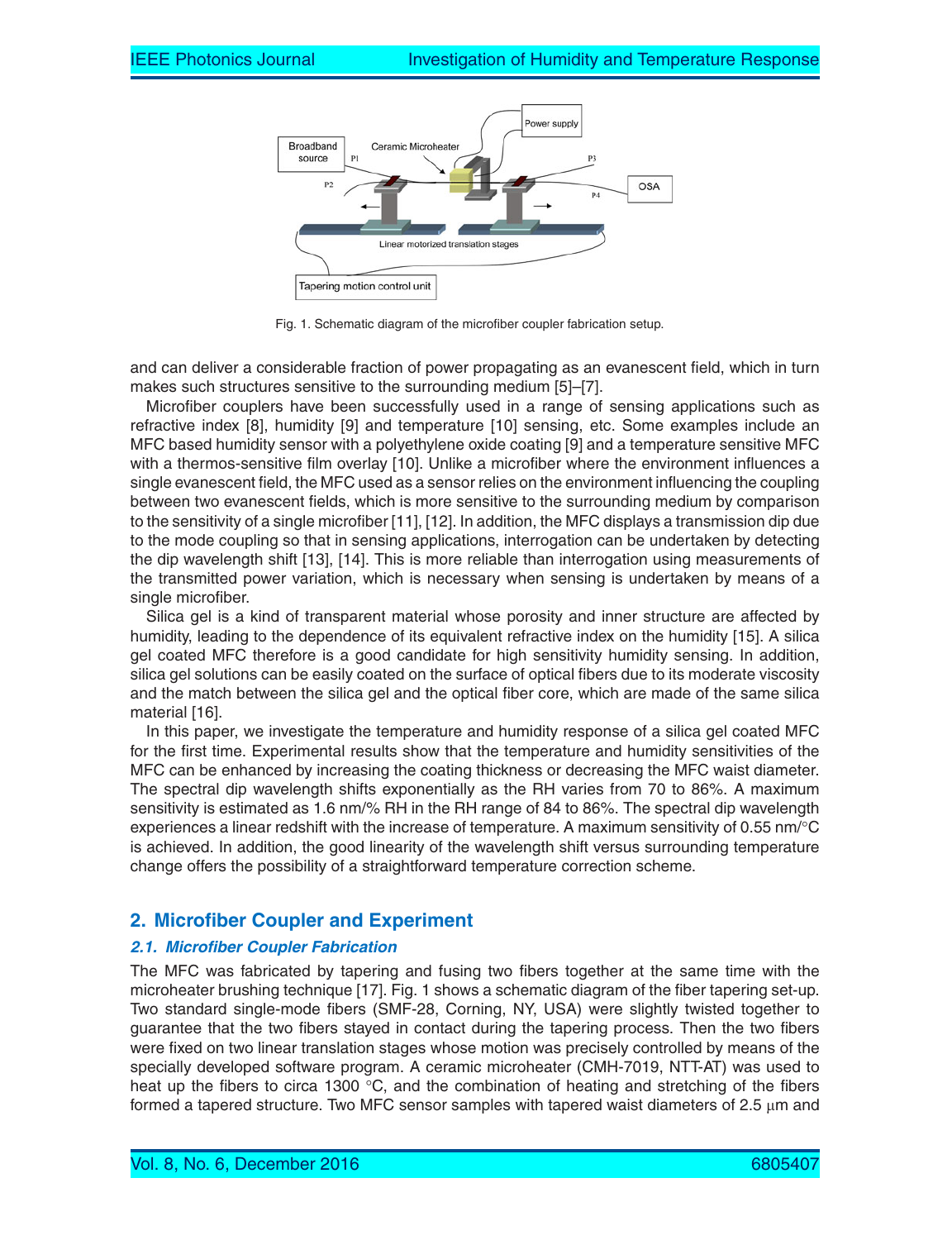

Fig. 1. Schematic diagram of the microfiber coupler fabrication setup.

and can deliver a considerable fraction of power propagating as an evanescent field, which in turn makes such structures sensitive to the surrounding medium [5]–[7].

Microfiber couplers have been successfully used in a range of sensing applications such as refractive index [8], humidity [9] and temperature [10] sensing, etc. Some examples include an MFC based humidity sensor with a polyethylene oxide coating [9] and a temperature sensitive MFC with a thermos-sensitive film overlay [10]. Unlike a microfiber where the environment influences a single evanescent field, the MFC used as a sensor relies on the environment influencing the coupling between two evanescent fields, which is more sensitive to the surrounding medium by comparison to the sensitivity of a single microfiber [11], [12]. In addition, the MFC displays a transmission dip due to the mode coupling so that in sensing applications, interrogation can be undertaken by detecting the dip wavelength shift [13], [14]. This is more reliable than interrogation using measurements of the transmitted power variation, which is necessary when sensing is undertaken by means of a single microfiber.

Silica gel is a kind of transparent material whose porosity and inner structure are affected by humidity, leading to the dependence of its equivalent refractive index on the humidity [15]. A silica gel coated MFC therefore is a good candidate for high sensitivity humidity sensing. In addition, silica gel solutions can be easily coated on the surface of optical fibers due to its moderate viscosity and the match between the silica gel and the optical fiber core, which are made of the same silica material [16].

In this paper, we investigate the temperature and humidity response of a silica gel coated MFC for the first time. Experimental results show that the temperature and humidity sensitivities of the MFC can be enhanced by increasing the coating thickness or decreasing the MFC waist diameter. The spectral dip wavelength shifts exponentially as the RH varies from 70 to 86%. A maximum sensitivity is estimated as 1.6 nm/% RH in the RH range of 84 to 86%. The spectral dip wavelength experiences a linear redshift with the increase of temperature. A maximum sensitivity of 0.55 nm/°C is achieved. In addition, the good linearity of the wavelength shift versus surrounding temperature change offers the possibility of a straightforward temperature correction scheme.

# **2. Microfiber Coupler and Experiment**

#### **2.1. Microfiber Coupler Fabrication**

The MFC was fabricated by tapering and fusing two fibers together at the same time with the microheater brushing technique [17]. Fig. 1 shows a schematic diagram of the fiber tapering set-up. Two standard single-mode fibers (SMF-28, Corning, NY, USA) were slightly twisted together to guarantee that the two fibers stayed in contact during the tapering process. Then the two fibers were fixed on two linear translation stages whose motion was precisely controlled by means of the specially developed software program. A ceramic microheater (CMH-7019, NTT-AT) was used to heat up the fibers to circa 1300  $\degree$ C, and the combination of heating and stretching of the fibers formed a tapered structure. Two MFC sensor samples with tapered waist diameters of 2.5 μm and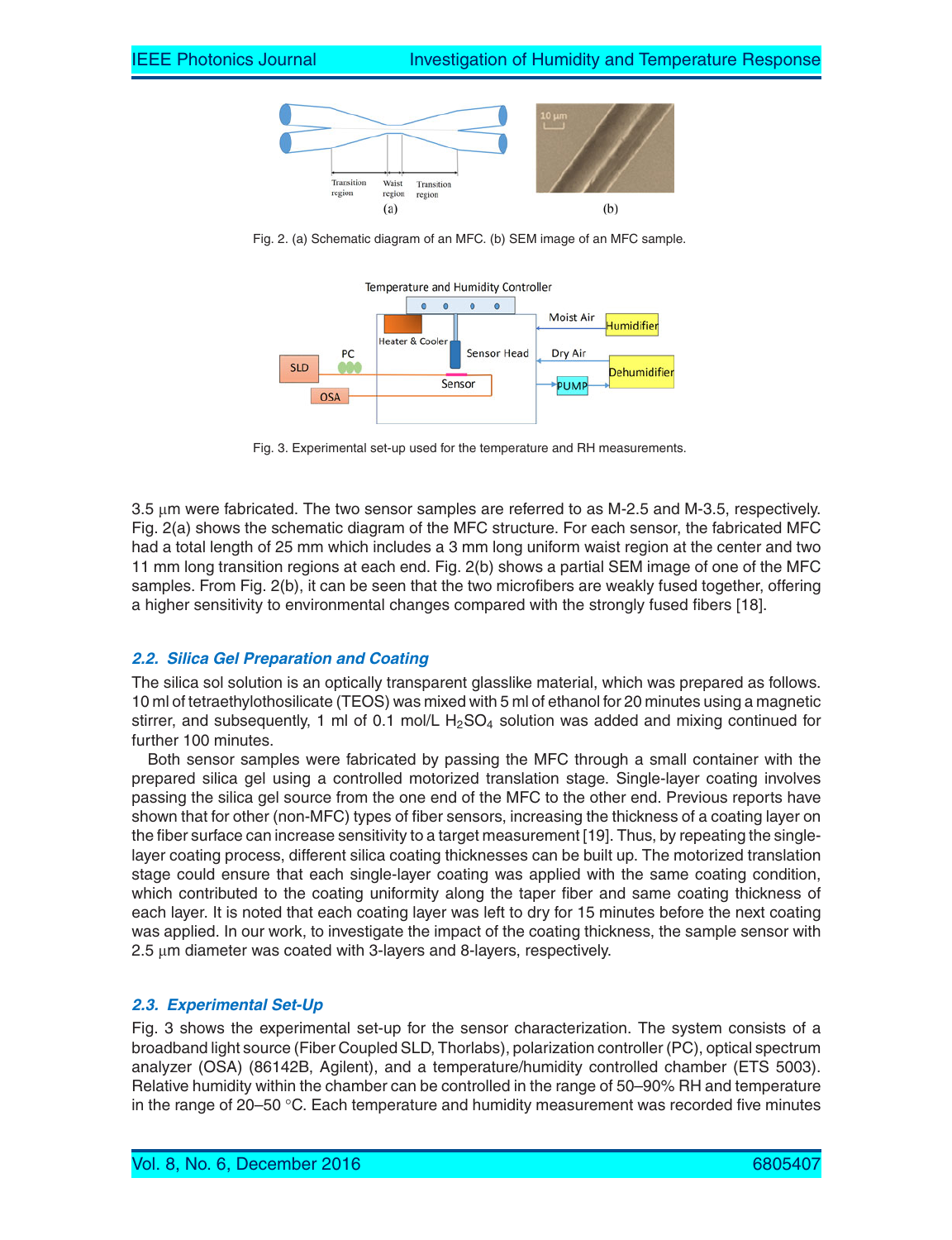

Fig. 2. (a) Schematic diagram of an MFC. (b) SEM image of an MFC sample.



Fig. 3. Experimental set-up used for the temperature and RH measurements.

3.5 μm were fabricated. The two sensor samples are referred to as M-2.5 and M-3.5, respectively. Fig. 2(a) shows the schematic diagram of the MFC structure. For each sensor, the fabricated MFC had a total length of 25 mm which includes a 3 mm long uniform waist region at the center and two 11 mm long transition regions at each end. Fig. 2(b) shows a partial SEM image of one of the MFC samples. From Fig. 2(b), it can be seen that the two microfibers are weakly fused together, offering a higher sensitivity to environmental changes compared with the strongly fused fibers [18].

#### **2.2. Silica Gel Preparation and Coating**

The silica sol solution is an optically transparent glasslike material, which was prepared as follows. 10 ml of tetraethylothosilicate (TEOS) was mixed with 5 ml of ethanol for 20 minutes using a magnetic stirrer, and subsequently, 1 ml of 0.1 mol/L  $H<sub>2</sub>SO<sub>4</sub>$  solution was added and mixing continued for further 100 minutes.

Both sensor samples were fabricated by passing the MFC through a small container with the prepared silica gel using a controlled motorized translation stage. Single-layer coating involves passing the silica gel source from the one end of the MFC to the other end. Previous reports have shown that for other (non-MFC) types of fiber sensors, increasing the thickness of a coating layer on the fiber surface can increase sensitivity to a target measurement [19]. Thus, by repeating the singlelayer coating process, different silica coating thicknesses can be built up. The motorized translation stage could ensure that each single-layer coating was applied with the same coating condition, which contributed to the coating uniformity along the taper fiber and same coating thickness of each layer. It is noted that each coating layer was left to dry for 15 minutes before the next coating was applied. In our work, to investigate the impact of the coating thickness, the sample sensor with 2.5 μm diameter was coated with 3-layers and 8-layers, respectively.

## **2.3. Experimental Set-Up**

Fig. 3 shows the experimental set-up for the sensor characterization. The system consists of a broadband light source (Fiber Coupled SLD, Thorlabs), polarization controller (PC), optical spectrum analyzer (OSA) (86142B, Agilent), and a temperature/humidity controlled chamber (ETS 5003). Relative humidity within the chamber can be controlled in the range of 50–90% RH and temperature in the range of 20–50  $\degree$ C. Each temperature and humidity measurement was recorded five minutes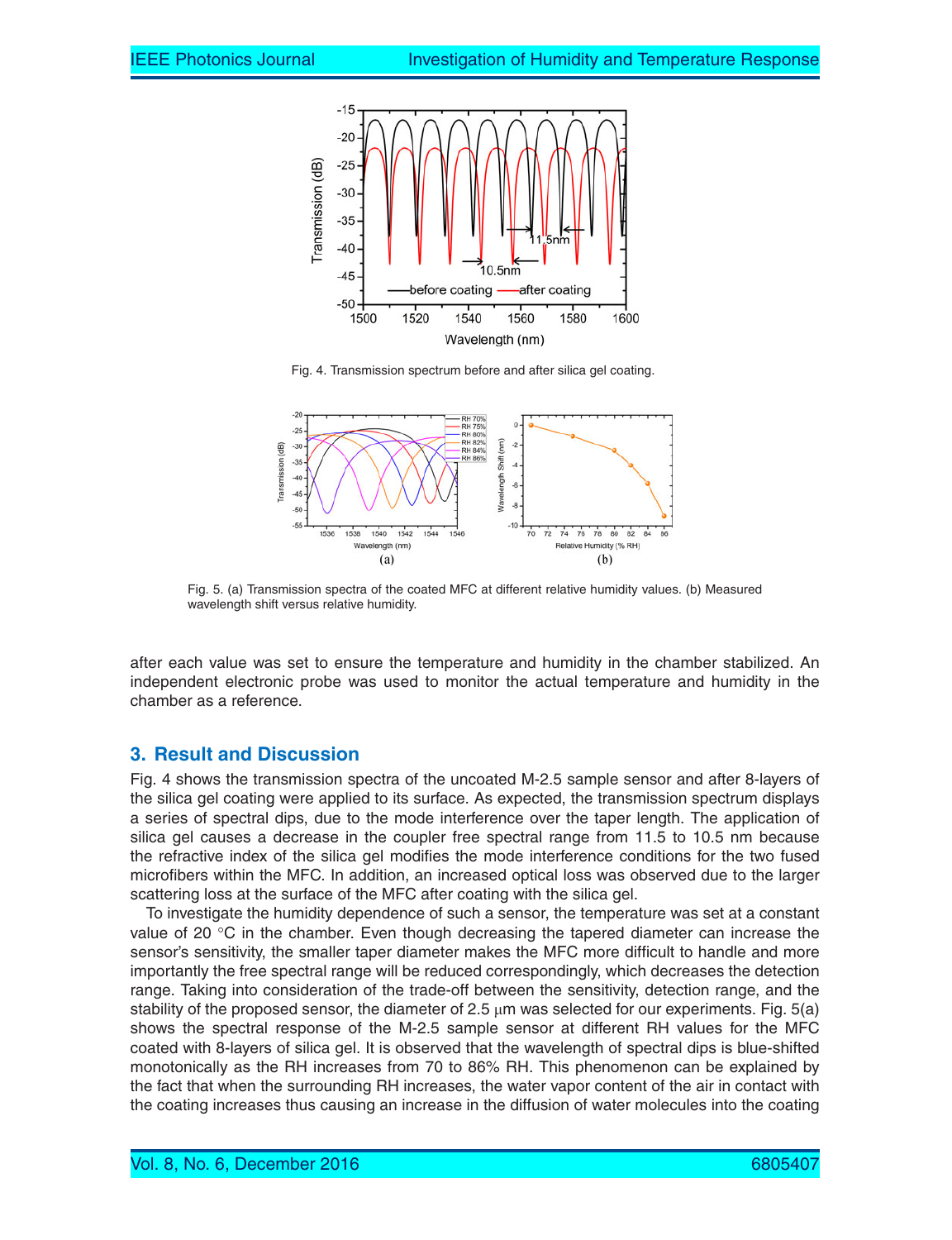

Fig. 4. Transmission spectrum before and after silica gel coating.



Fig. 5. (a) Transmission spectra of the coated MFC at different relative humidity values. (b) Measured wavelength shift versus relative humidity.

after each value was set to ensure the temperature and humidity in the chamber stabilized. An independent electronic probe was used to monitor the actual temperature and humidity in the chamber as a reference.

## **3. Result and Discussion**

Fig. 4 shows the transmission spectra of the uncoated M-2.5 sample sensor and after 8-layers of the silica gel coating were applied to its surface. As expected, the transmission spectrum displays a series of spectral dips, due to the mode interference over the taper length. The application of silica gel causes a decrease in the coupler free spectral range from 11.5 to 10.5 nm because the refractive index of the silica gel modifies the mode interference conditions for the two fused microfibers within the MFC. In addition, an increased optical loss was observed due to the larger scattering loss at the surface of the MFC after coating with the silica gel.

To investigate the humidity dependence of such a sensor, the temperature was set at a constant value of 20 °C in the chamber. Even though decreasing the tapered diameter can increase the sensor's sensitivity, the smaller taper diameter makes the MFC more difficult to handle and more importantly the free spectral range will be reduced correspondingly, which decreases the detection range. Taking into consideration of the trade-off between the sensitivity, detection range, and the stability of the proposed sensor, the diameter of 2.5  $\mu$ m was selected for our experiments. Fig. 5(a) shows the spectral response of the M-2.5 sample sensor at different RH values for the MFC coated with 8-layers of silica gel. It is observed that the wavelength of spectral dips is blue-shifted monotonically as the RH increases from 70 to 86% RH. This phenomenon can be explained by the fact that when the surrounding RH increases, the water vapor content of the air in contact with the coating increases thus causing an increase in the diffusion of water molecules into the coating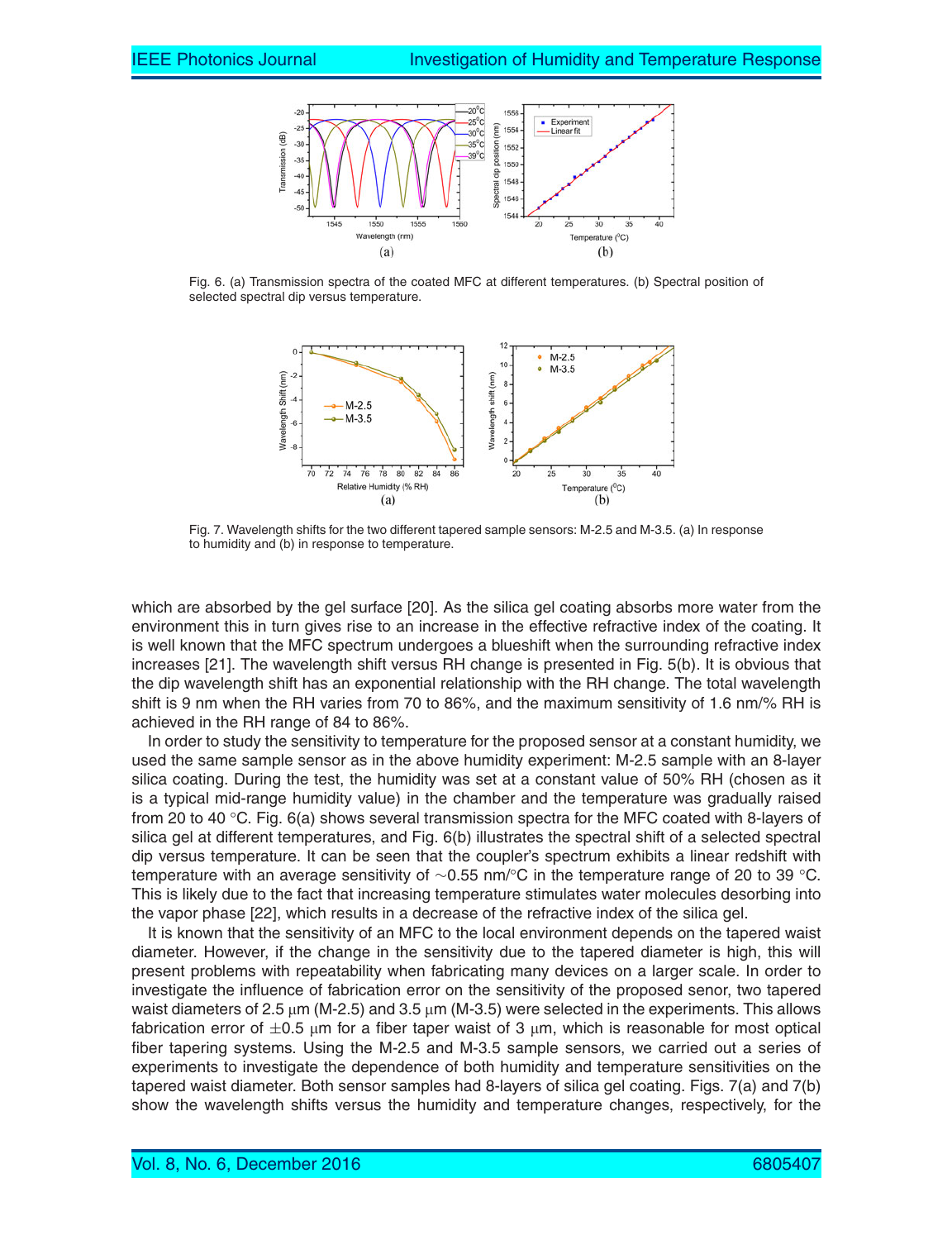

Fig. 6. (a) Transmission spectra of the coated MFC at different temperatures. (b) Spectral position of selected spectral dip versus temperature.



Fig. 7. Wavelength shifts for the two different tapered sample sensors: M-2.5 and M-3.5. (a) In response to humidity and (b) in response to temperature.

which are absorbed by the gel surface [20]. As the silica gel coating absorbs more water from the environment this in turn gives rise to an increase in the effective refractive index of the coating. It is well known that the MFC spectrum undergoes a blueshift when the surrounding refractive index increases [21]. The wavelength shift versus RH change is presented in Fig. 5(b). It is obvious that the dip wavelength shift has an exponential relationship with the RH change. The total wavelength shift is 9 nm when the RH varies from 70 to 86%, and the maximum sensitivity of 1.6 nm/% RH is achieved in the RH range of 84 to 86%.

In order to study the sensitivity to temperature for the proposed sensor at a constant humidity, we used the same sample sensor as in the above humidity experiment: M-2.5 sample with an 8-layer silica coating. During the test, the humidity was set at a constant value of 50% RH (chosen as it is a typical mid-range humidity value) in the chamber and the temperature was gradually raised from 20 to 40 °C. Fig. 6(a) shows several transmission spectra for the MFC coated with 8-layers of silica gel at different temperatures, and Fig. 6(b) illustrates the spectral shift of a selected spectral dip versus temperature. It can be seen that the coupler's spectrum exhibits a linear redshift with temperature with an average sensitivity of ∼0.55 nm/°C in the temperature range of 20 to 39 °C. This is likely due to the fact that increasing temperature stimulates water molecules desorbing into the vapor phase [22], which results in a decrease of the refractive index of the silica gel.

It is known that the sensitivity of an MFC to the local environment depends on the tapered waist diameter. However, if the change in the sensitivity due to the tapered diameter is high, this will present problems with repeatability when fabricating many devices on a larger scale. In order to investigate the influence of fabrication error on the sensitivity of the proposed senor, two tapered waist diameters of 2.5 μm (M-2.5) and 3.5 μm (M-3.5) were selected in the experiments. This allows fabrication error of  $\pm 0.5$  μm for a fiber taper waist of 3 μm, which is reasonable for most optical fiber tapering systems. Using the M-2.5 and M-3.5 sample sensors, we carried out a series of experiments to investigate the dependence of both humidity and temperature sensitivities on the tapered waist diameter. Both sensor samples had 8-layers of silica gel coating. Figs. 7(a) and 7(b) show the wavelength shifts versus the humidity and temperature changes, respectively, for the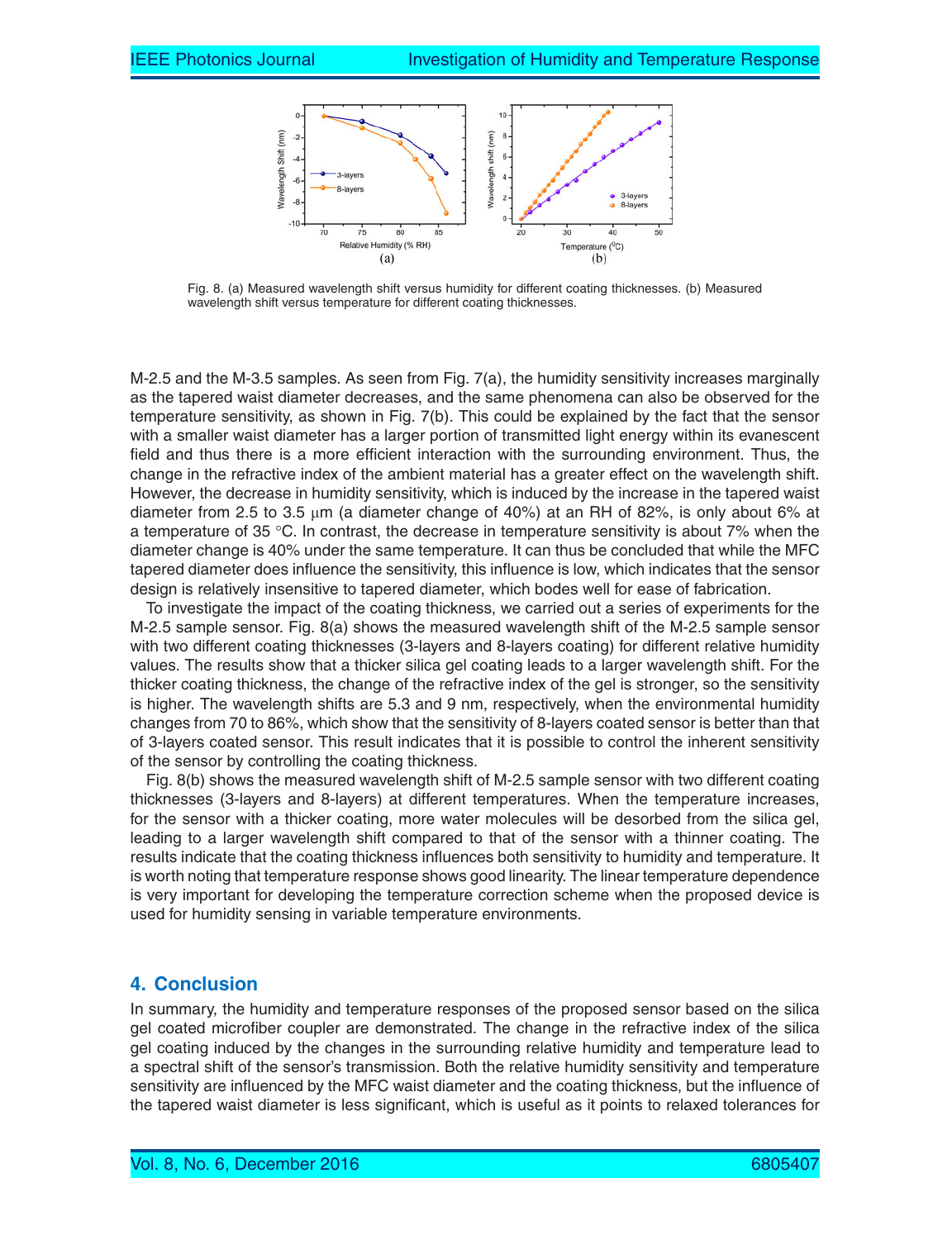

Fig. 8. (a) Measured wavelength shift versus humidity for different coating thicknesses. (b) Measured wavelength shift versus temperature for different coating thicknesses.

M-2.5 and the M-3.5 samples. As seen from Fig. 7(a), the humidity sensitivity increases marginally as the tapered waist diameter decreases, and the same phenomena can also be observed for the temperature sensitivity, as shown in Fig. 7(b). This could be explained by the fact that the sensor with a smaller waist diameter has a larger portion of transmitted light energy within its evanescent field and thus there is a more efficient interaction with the surrounding environment. Thus, the change in the refractive index of the ambient material has a greater effect on the wavelength shift. However, the decrease in humidity sensitivity, which is induced by the increase in the tapered waist diameter from 2.5 to 3.5  $\mu$ m (a diameter change of 40%) at an RH of 82%, is only about 6% at a temperature of 35 °C. In contrast, the decrease in temperature sensitivity is about 7% when the diameter change is 40% under the same temperature. It can thus be concluded that while the MFC tapered diameter does influence the sensitivity, this influence is low, which indicates that the sensor design is relatively insensitive to tapered diameter, which bodes well for ease of fabrication.

To investigate the impact of the coating thickness, we carried out a series of experiments for the M-2.5 sample sensor. Fig. 8(a) shows the measured wavelength shift of the M-2.5 sample sensor with two different coating thicknesses (3-layers and 8-layers coating) for different relative humidity values. The results show that a thicker silica gel coating leads to a larger wavelength shift. For the thicker coating thickness, the change of the refractive index of the gel is stronger, so the sensitivity is higher. The wavelength shifts are 5.3 and 9 nm, respectively, when the environmental humidity changes from 70 to 86%, which show that the sensitivity of 8-layers coated sensor is better than that of 3-layers coated sensor. This result indicates that it is possible to control the inherent sensitivity of the sensor by controlling the coating thickness.

Fig. 8(b) shows the measured wavelength shift of M-2.5 sample sensor with two different coating thicknesses (3-layers and 8-layers) at different temperatures. When the temperature increases, for the sensor with a thicker coating, more water molecules will be desorbed from the silica gel, leading to a larger wavelength shift compared to that of the sensor with a thinner coating. The results indicate that the coating thickness influences both sensitivity to humidity and temperature. It is worth noting that temperature response shows good linearity. The linear temperature dependence is very important for developing the temperature correction scheme when the proposed device is used for humidity sensing in variable temperature environments.

# **4. Conclusion**

In summary, the humidity and temperature responses of the proposed sensor based on the silica gel coated microfiber coupler are demonstrated. The change in the refractive index of the silica gel coating induced by the changes in the surrounding relative humidity and temperature lead to a spectral shift of the sensor's transmission. Both the relative humidity sensitivity and temperature sensitivity are influenced by the MFC waist diameter and the coating thickness, but the influence of the tapered waist diameter is less significant, which is useful as it points to relaxed tolerances for